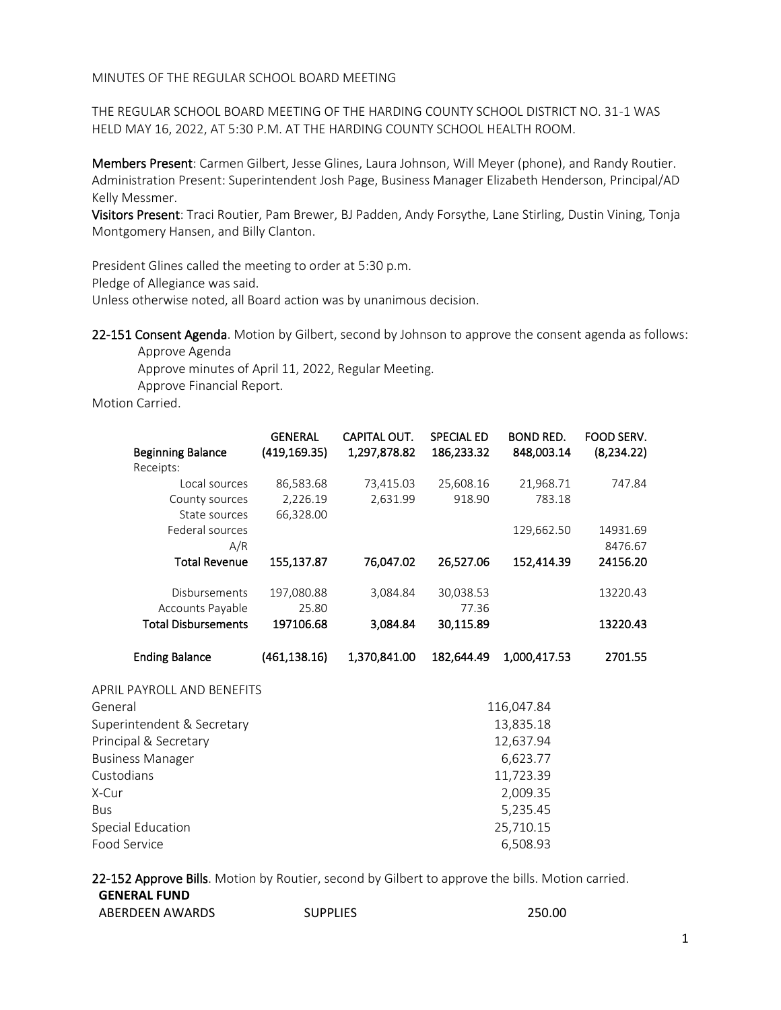MINUTES OF THE REGULAR SCHOOL BOARD MEETING

THE REGULAR SCHOOL BOARD MEETING OF THE HARDING COUNTY SCHOOL DISTRICT NO. 31-1 WAS HELD MAY 16, 2022, AT 5:30 P.M. AT THE HARDING COUNTY SCHOOL HEALTH ROOM.

Members Present: Carmen Gilbert, Jesse Glines, Laura Johnson, Will Meyer (phone), and Randy Routier. Administration Present: Superintendent Josh Page, Business Manager Elizabeth Henderson, Principal/AD Kelly Messmer.

Visitors Present: Traci Routier, Pam Brewer, BJ Padden, Andy Forsythe, Lane Stirling, Dustin Vining, Tonja Montgomery Hansen, and Billy Clanton.

President Glines called the meeting to order at 5:30 p.m.

Pledge of Allegiance was said.

Unless otherwise noted, all Board action was by unanimous decision.

22-151 Consent Agenda. Motion by Gilbert, second by Johnson to approve the consent agenda as follows:

Approve Agenda Approve minutes of April 11, 2022, Regular Meeting. Approve Financial Report.

Motion Carried.

|                            | <b>GENERAL</b> | CAPITAL OUT. | <b>SPECIAL ED</b> | <b>BOND RED.</b> | FOOD SERV.  |
|----------------------------|----------------|--------------|-------------------|------------------|-------------|
| <b>Beginning Balance</b>   | (419, 169.35)  | 1,297,878.82 | 186,233.32        | 848,003.14       | (8, 234.22) |
| Receipts:                  |                |              |                   |                  |             |
| Local sources              | 86,583.68      | 73,415.03    | 25,608.16         | 21,968.71        | 747.84      |
| County sources             | 2,226.19       | 2,631.99     | 918.90            | 783.18           |             |
| State sources              | 66,328.00      |              |                   |                  |             |
| Federal sources            |                |              |                   | 129,662.50       | 14931.69    |
| A/R                        |                |              |                   |                  | 8476.67     |
| <b>Total Revenue</b>       | 155,137.87     | 76,047.02    | 26,527.06         | 152,414.39       | 24156.20    |
| Disbursements              | 197,080.88     | 3,084.84     | 30,038.53         |                  | 13220.43    |
| Accounts Payable           | 25.80          |              | 77.36             |                  |             |
| <b>Total Disbursements</b> | 197106.68      | 3,084.84     | 30,115.89         |                  | 13220.43    |
|                            |                |              |                   |                  |             |
| <b>Ending Balance</b>      | (461, 138.16)  | 1,370,841.00 | 182,644.49        | 1,000,417.53     | 2701.55     |
| APRIL PAYROLL AND BENEFITS |                |              |                   |                  |             |
| General                    |                | 116,047.84   |                   |                  |             |
| Superintendent & Secretary |                | 13,835.18    |                   |                  |             |
| Principal & Secretary      |                | 12,637.94    |                   |                  |             |
| <b>Business Manager</b>    |                | 6,623.77     |                   |                  |             |
| Custodians                 |                | 11,723.39    |                   |                  |             |
| X-Cur                      |                | 2,009.35     |                   |                  |             |
| <b>Bus</b>                 |                | 5,235.45     |                   |                  |             |

22-152 Approve Bills. Motion by Routier, second by Gilbert to approve the bills. Motion carried. **GENERAL FUND**

| ABERDEEN AWARDS | <b>SUPPLIES</b> | 250.00 |
|-----------------|-----------------|--------|
|                 |                 |        |

Special Education 25,710.15 Food Service 6,508.93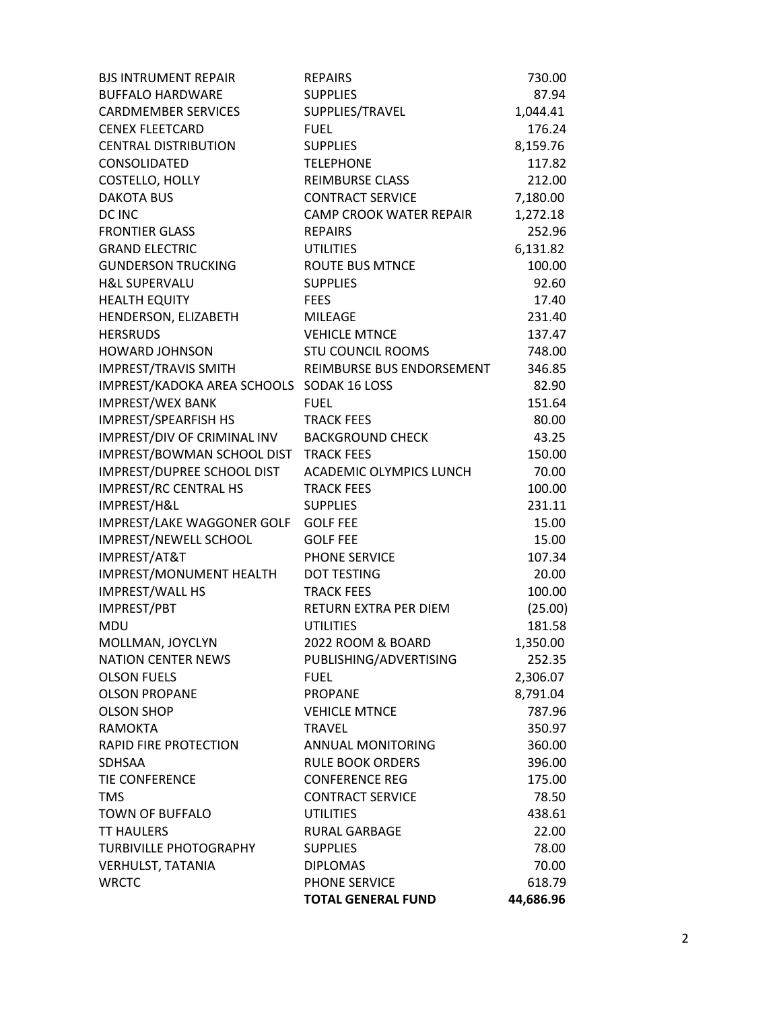| <b>BJS INTRUMENT REPAIR</b>               | <b>REPAIRS</b>                 | 730.00    |
|-------------------------------------------|--------------------------------|-----------|
| <b>BUFFALO HARDWARE</b>                   | <b>SUPPLIES</b>                | 87.94     |
| <b>CARDMEMBER SERVICES</b>                | SUPPLIES/TRAVEL                | 1,044.41  |
| <b>CENEX FLEETCARD</b>                    | <b>FUEL</b>                    | 176.24    |
| <b>CENTRAL DISTRIBUTION</b>               | <b>SUPPLIES</b>                | 8,159.76  |
| CONSOLIDATED                              | <b>TELEPHONE</b>               | 117.82    |
| COSTELLO, HOLLY                           | <b>REIMBURSE CLASS</b>         | 212.00    |
| <b>DAKOTA BUS</b>                         | <b>CONTRACT SERVICE</b>        | 7,180.00  |
| DC INC                                    | <b>CAMP CROOK WATER REPAIR</b> | 1,272.18  |
| <b>FRONTIER GLASS</b>                     | <b>REPAIRS</b>                 | 252.96    |
| <b>GRAND ELECTRIC</b>                     | <b>UTILITIES</b>               | 6,131.82  |
| <b>GUNDERSON TRUCKING</b>                 | <b>ROUTE BUS MTNCE</b>         | 100.00    |
| <b>H&amp;L SUPERVALU</b>                  | <b>SUPPLIES</b>                | 92.60     |
| <b>HEALTH EQUITY</b>                      | <b>FEES</b>                    | 17.40     |
| HENDERSON, ELIZABETH                      | <b>MILEAGE</b>                 | 231.40    |
| <b>HERSRUDS</b>                           | <b>VEHICLE MTNCE</b>           | 137.47    |
| <b>HOWARD JOHNSON</b>                     | <b>STU COUNCIL ROOMS</b>       | 748.00    |
| <b>IMPREST/TRAVIS SMITH</b>               | REIMBURSE BUS ENDORSEMENT      | 346.85    |
| IMPREST/KADOKA AREA SCHOOLS SODAK 16 LOSS |                                | 82.90     |
| <b>IMPREST/WEX BANK</b>                   | <b>FUEL</b>                    | 151.64    |
| <b>IMPREST/SPEARFISH HS</b>               | <b>TRACK FEES</b>              | 80.00     |
| IMPREST/DIV OF CRIMINAL INV               | <b>BACKGROUND CHECK</b>        | 43.25     |
| IMPREST/BOWMAN SCHOOL DIST                | <b>TRACK FEES</b>              | 150.00    |
| IMPREST/DUPREE SCHOOL DIST                | ACADEMIC OLYMPICS LUNCH        | 70.00     |
| <b>IMPREST/RC CENTRAL HS</b>              | <b>TRACK FEES</b>              | 100.00    |
| IMPREST/H&L                               | <b>SUPPLIES</b>                | 231.11    |
| IMPREST/LAKE WAGGONER GOLF                | <b>GOLF FEE</b>                | 15.00     |
| IMPREST/NEWELL SCHOOL                     | <b>GOLF FEE</b>                | 15.00     |
| IMPREST/AT&T                              | PHONE SERVICE                  | 107.34    |
| IMPREST/MONUMENT HEALTH                   | <b>DOT TESTING</b>             | 20.00     |
| <b>IMPREST/WALL HS</b>                    | <b>TRACK FEES</b>              | 100.00    |
| IMPREST/PBT                               | <b>RETURN EXTRA PER DIEM</b>   | (25.00)   |
| <b>MDU</b>                                | <b>UTILITIES</b>               | 181.58    |
| MOLLMAN, JOYCLYN                          | 2022 ROOM & BOARD              | 1,350.00  |
| <b>NATION CENTER NEWS</b>                 | PUBLISHING/ADVERTISING         | 252.35    |
| <b>OLSON FUELS</b>                        | <b>FUEL</b>                    | 2,306.07  |
| <b>OLSON PROPANE</b>                      | <b>PROPANE</b>                 | 8,791.04  |
| <b>OLSON SHOP</b>                         | <b>VEHICLE MTNCE</b>           | 787.96    |
| <b>RAMOKTA</b>                            | <b>TRAVEL</b>                  | 350.97    |
| <b>RAPID FIRE PROTECTION</b>              | <b>ANNUAL MONITORING</b>       | 360.00    |
| <b>SDHSAA</b>                             | <b>RULE BOOK ORDERS</b>        | 396.00    |
| <b>TIE CONFERENCE</b>                     | <b>CONFERENCE REG</b>          | 175.00    |
| <b>TMS</b>                                | <b>CONTRACT SERVICE</b>        | 78.50     |
| <b>TOWN OF BUFFALO</b>                    | <b>UTILITIES</b>               | 438.61    |
| <b>TT HAULERS</b>                         | <b>RURAL GARBAGE</b>           | 22.00     |
| <b>TURBIVILLE PHOTOGRAPHY</b>             | <b>SUPPLIES</b>                | 78.00     |
| <b>VERHULST, TATANIA</b>                  | <b>DIPLOMAS</b>                | 70.00     |
| <b>WRCTC</b>                              | PHONE SERVICE                  | 618.79    |
|                                           | <b>TOTAL GENERAL FUND</b>      | 44,686.96 |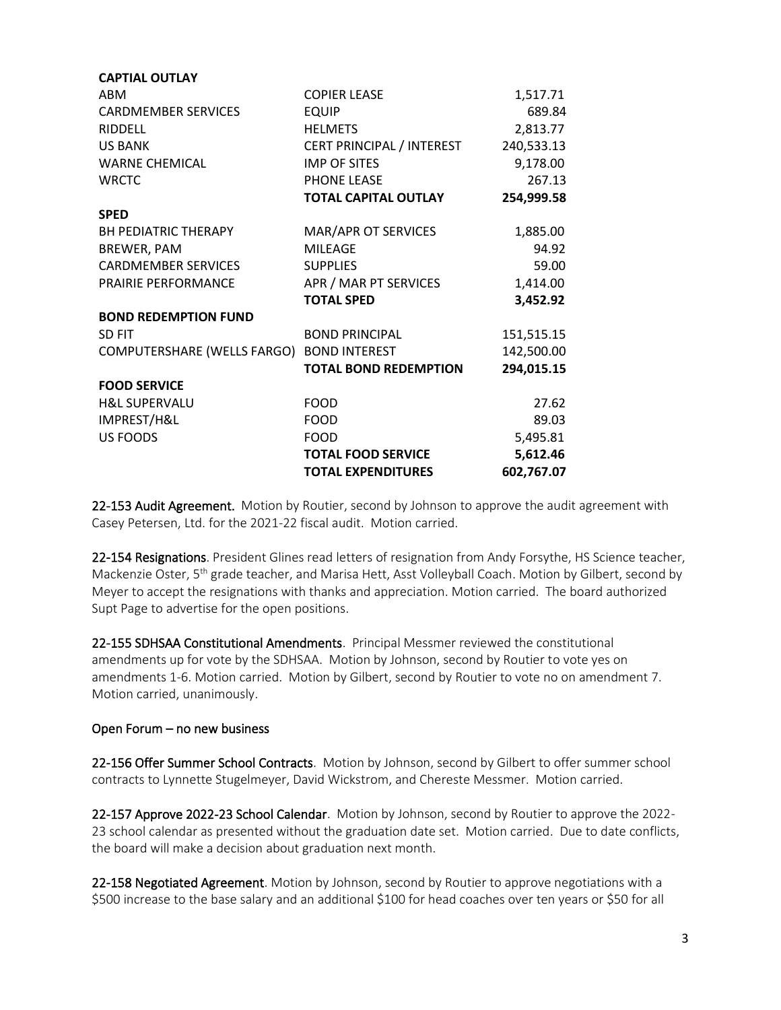| <b>CAPTIAL OUTLAY</b>       |                              |            |
|-----------------------------|------------------------------|------------|
| ABM                         | <b>COPIER LEASE</b>          | 1,517.71   |
| <b>CARDMEMBER SERVICES</b>  | <b>EQUIP</b>                 | 689.84     |
| <b>RIDDELL</b>              | <b>HELMETS</b>               | 2,813.77   |
| <b>US BANK</b>              | CERT PRINCIPAL / INTEREST    | 240,533.13 |
| <b>WARNE CHEMICAL</b>       | <b>IMP OF SITES</b>          | 9,178.00   |
| <b>WRCTC</b>                | PHONE LEASE                  | 267.13     |
|                             | <b>TOTAL CAPITAL OUTLAY</b>  | 254,999.58 |
| <b>SPED</b>                 |                              |            |
| <b>BH PEDIATRIC THERAPY</b> | MAR/APR OT SERVICES          | 1,885.00   |
| BREWER, PAM                 | <b>MILEAGE</b>               | 94.92      |
| <b>CARDMEMBER SERVICES</b>  | <b>SUPPLIES</b>              | 59.00      |
| PRAIRIE PERFORMANCE         | APR / MAR PT SERVICES        | 1,414.00   |
|                             | <b>TOTAL SPED</b>            | 3,452.92   |
| <b>BOND REDEMPTION FUND</b> |                              |            |
| <b>SD FIT</b>               | <b>BOND PRINCIPAL</b>        | 151,515.15 |
| COMPUTERSHARE (WELLS FARGO) | <b>BOND INTEREST</b>         | 142,500.00 |
|                             | <b>TOTAL BOND REDEMPTION</b> | 294,015.15 |
| <b>FOOD SERVICE</b>         |                              |            |
| <b>H&amp;L SUPERVALU</b>    | <b>FOOD</b>                  | 27.62      |
| IMPREST/H&L                 | <b>FOOD</b>                  | 89.03      |
| <b>US FOODS</b>             | <b>FOOD</b>                  | 5,495.81   |
|                             | <b>TOTAL FOOD SERVICE</b>    | 5,612.46   |
|                             | <b>TOTAL EXPENDITURES</b>    | 602,767.07 |

22-153 Audit Agreement. Motion by Routier, second by Johnson to approve the audit agreement with Casey Petersen, Ltd. for the 2021-22 fiscal audit. Motion carried.

22-154 Resignations. President Glines read letters of resignation from Andy Forsythe, HS Science teacher, Mackenzie Oster, 5<sup>th</sup> grade teacher, and Marisa Hett, Asst Volleyball Coach. Motion by Gilbert, second by Meyer to accept the resignations with thanks and appreciation. Motion carried. The board authorized Supt Page to advertise for the open positions.

22-155 SDHSAA Constitutional Amendments. Principal Messmer reviewed the constitutional amendments up for vote by the SDHSAA. Motion by Johnson, second by Routier to vote yes on amendments 1-6. Motion carried. Motion by Gilbert, second by Routier to vote no on amendment 7. Motion carried, unanimously.

## Open Forum – no new business

22-156 Offer Summer School Contracts. Motion by Johnson, second by Gilbert to offer summer school contracts to Lynnette Stugelmeyer, David Wickstrom, and Chereste Messmer. Motion carried.

22-157 Approve 2022-23 School Calendar. Motion by Johnson, second by Routier to approve the 2022- 23 school calendar as presented without the graduation date set. Motion carried. Due to date conflicts, the board will make a decision about graduation next month.

22-158 Negotiated Agreement. Motion by Johnson, second by Routier to approve negotiations with a \$500 increase to the base salary and an additional \$100 for head coaches over ten years or \$50 for all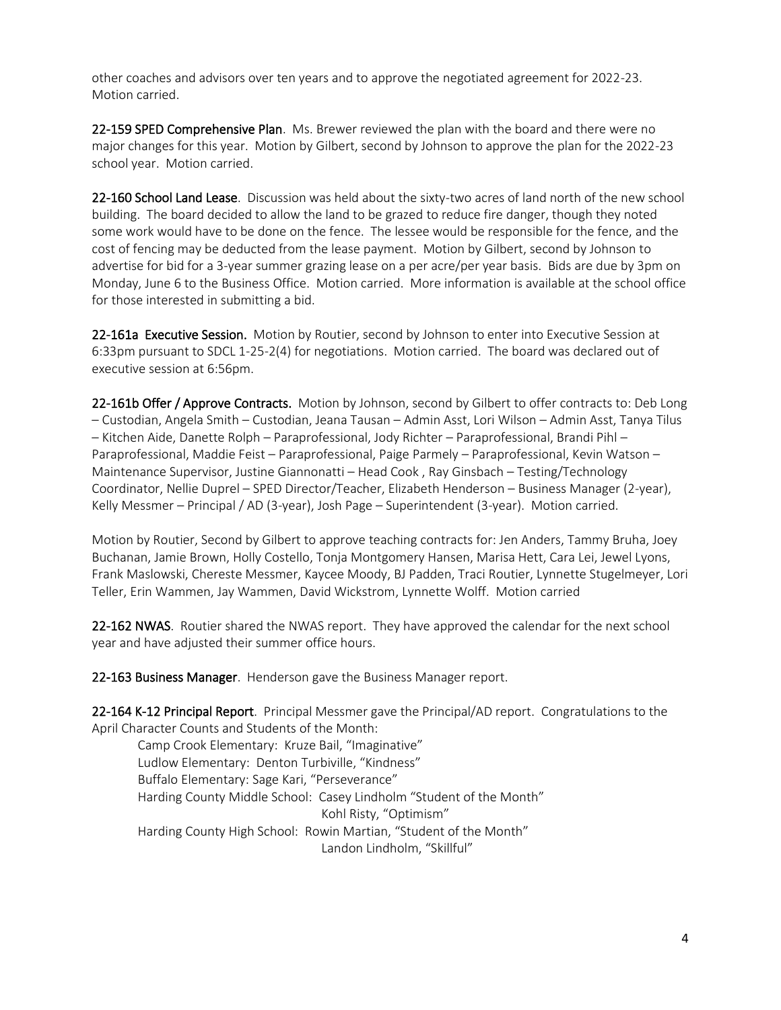other coaches and advisors over ten years and to approve the negotiated agreement for 2022-23. Motion carried.

22-159 SPED Comprehensive Plan. Ms. Brewer reviewed the plan with the board and there were no major changes for this year. Motion by Gilbert, second by Johnson to approve the plan for the 2022-23 school year. Motion carried.

22-160 School Land Lease. Discussion was held about the sixty-two acres of land north of the new school building. The board decided to allow the land to be grazed to reduce fire danger, though they noted some work would have to be done on the fence. The lessee would be responsible for the fence, and the cost of fencing may be deducted from the lease payment. Motion by Gilbert, second by Johnson to advertise for bid for a 3-year summer grazing lease on a per acre/per year basis. Bids are due by 3pm on Monday, June 6 to the Business Office. Motion carried. More information is available at the school office for those interested in submitting a bid.

22-161a Executive Session. Motion by Routier, second by Johnson to enter into Executive Session at 6:33pm pursuant to SDCL 1-25-2(4) for negotiations. Motion carried. The board was declared out of executive session at 6:56pm.

22-161b Offer / Approve Contracts. Motion by Johnson, second by Gilbert to offer contracts to: Deb Long – Custodian, Angela Smith – Custodian, Jeana Tausan – Admin Asst, Lori Wilson – Admin Asst, Tanya Tilus – Kitchen Aide, Danette Rolph – Paraprofessional, Jody Richter – Paraprofessional, Brandi Pihl – Paraprofessional, Maddie Feist – Paraprofessional, Paige Parmely – Paraprofessional, Kevin Watson – Maintenance Supervisor, Justine Giannonatti – Head Cook , Ray Ginsbach – Testing/Technology Coordinator, Nellie Duprel – SPED Director/Teacher, Elizabeth Henderson – Business Manager (2-year), Kelly Messmer – Principal / AD (3-year), Josh Page – Superintendent (3-year). Motion carried.

Motion by Routier, Second by Gilbert to approve teaching contracts for: Jen Anders, Tammy Bruha, Joey Buchanan, Jamie Brown, Holly Costello, Tonja Montgomery Hansen, Marisa Hett, Cara Lei, Jewel Lyons, Frank Maslowski, Chereste Messmer, Kaycee Moody, BJ Padden, Traci Routier, Lynnette Stugelmeyer, Lori Teller, Erin Wammen, Jay Wammen, David Wickstrom, Lynnette Wolff. Motion carried

22-162 NWAS. Routier shared the NWAS report. They have approved the calendar for the next school year and have adjusted their summer office hours.

22-163 Business Manager. Henderson gave the Business Manager report.

22-164 K-12 Principal Report. Principal Messmer gave the Principal/AD report. Congratulations to the April Character Counts and Students of the Month:

Camp Crook Elementary: Kruze Bail, "Imaginative" Ludlow Elementary: Denton Turbiville, "Kindness" Buffalo Elementary: Sage Kari, "Perseverance" Harding County Middle School: Casey Lindholm "Student of the Month" Kohl Risty, "Optimism" Harding County High School: Rowin Martian, "Student of the Month" Landon Lindholm, "Skillful"